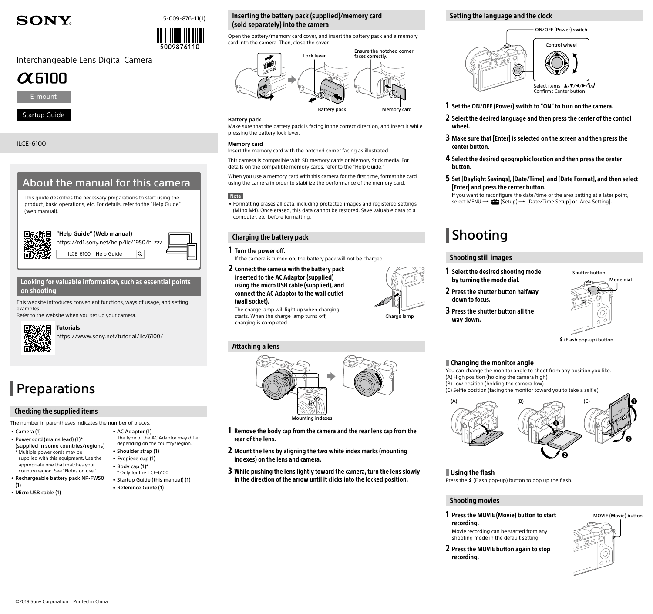# **SONY.**





# Interchangeable Lens Digital Camera





Startup Guide

## ILCE-6100

# About the manual for this camera

This guide describes the necessary preparations to start using the product, basic operations, etc. For details, refer to the "Help Guide" (web manual).



## Looking for valuable information, such as essential points on shooting

This website introduces convenient functions, ways of usage, and setting examples.

Refer to the website when you set up your camera.



<https://www.sony.net/tutorial/ilc/6100/>

• AC Adaptor (1)

• Shoulder strap (1) • Eyepiece cup (1) • Body cap (1)\* \* Only for the ILCE-6100 • Startup Guide (this manual) (1)

• Reference Guide (1)

The type of the AC Adaptor may differ depending on the country/region.

# **Preparations**

## Checking the supplied items

The number in parentheses indicates the number of pieces.

- Camera (1) • Power cord (mains lead) (1)\*
- (supplied in some countries/regions) \* Multiple power cords may be supplied with this equipment. Use the
- appropriate one that matches your country/region. See "[Notes on use.](#page-1-0)" • Rechargeable battery pack NP-FW50
- (1) • Micro USB cable (1)

# Inserting the battery pack (supplied)/memory card (sold separately) into the camera

Open the battery/memory card cover, and insert the battery pack and a memory card into the camera. Then, close the cover.



### **Battery pack**

Make sure that the battery pack is facing in the correct direction, and insert it while pressing the battery lock lever.

### **Memory card**

Insert the memory card with the notched corner facing as illustrated.

This camera is compatible with SD memory cards or Memory Stick media. For details on the compatible memory cards, refer to the "Help Guide."

When you use a memory card with this camera for the first time, format the card using the camera in order to stabilize the performance of the memory card.

### **Note**

• Formatting erases all data, including protected images and registered settings (M1 to M4). Once erased, this data cannot be restored. Save valuable data to a computer, etc. before formatting.

### Charging the battery pack

### 1 Turn the power off.

If the camera is turned on, the battery pack will not be charged.

2 Connect the camera with the battery pack inserted to the AC Adaptor (supplied) using the micro USB cable (supplied), and connect the AC Adaptor to the wall outlet (wall socket).

The charge lamp will light up when charging starts. When the charge lamp turns off, charging is completed.

# Attaching a lens



- 1 Remove the body cap from the camera and the rear lens cap from the rear of the lens.
- 2 Mount the lens by aligning the two white index marks (mounting indexes) on the lens and camera.
- 3 While pushing the lens lightly toward the camera, turn the lens slowly in the direction of the arrow until it clicks into the locked position.

### Setting the language and the clock



### 1 Set the ON/OFF (Power) switch to "ON" to turn on the camera.

- 2 Select the desired language and then press the center of the control wheel
- 3 Make sure that [Enter] is selected on the screen and then press the center button.
- 4 Select the desired geographic location and then press the center button.
- 5 Set [Daylight Savings], [Date/Time], and [Date Format], and then select [Enter] and press the center button.

If you want to reconfigure the date/time or the area setting at a later point, select MENU  $\rightarrow \bullet$  (Setup)  $\rightarrow$  [Date/Time Setup] or [Area Setting].

# **Shooting**

## Shooting still images



- 2 Press the shutter button halfway down to focus.
- 3 Press the shutter button all the way down.



### (Flash pop-up) button

### **Changing the monitor angle**

You can change the monitor angle to shoot from any position you like. (A) High position (holding the camera high) (B) Low position (holding the camera low) (C) Selfie position (facing the monitor toward you to take a selfie)



## Using the flash

Press the  $\frac{4}{7}$  (Flash pop-up) button to pop up the flash.

# Shooting movies

- 1 Press the MOVIE (Movie) button to start recording. Movie recording can be started from any
	- shooting mode in the default setting.
- 2 Press the MOVIE button again to stop recording.







Charge lamp